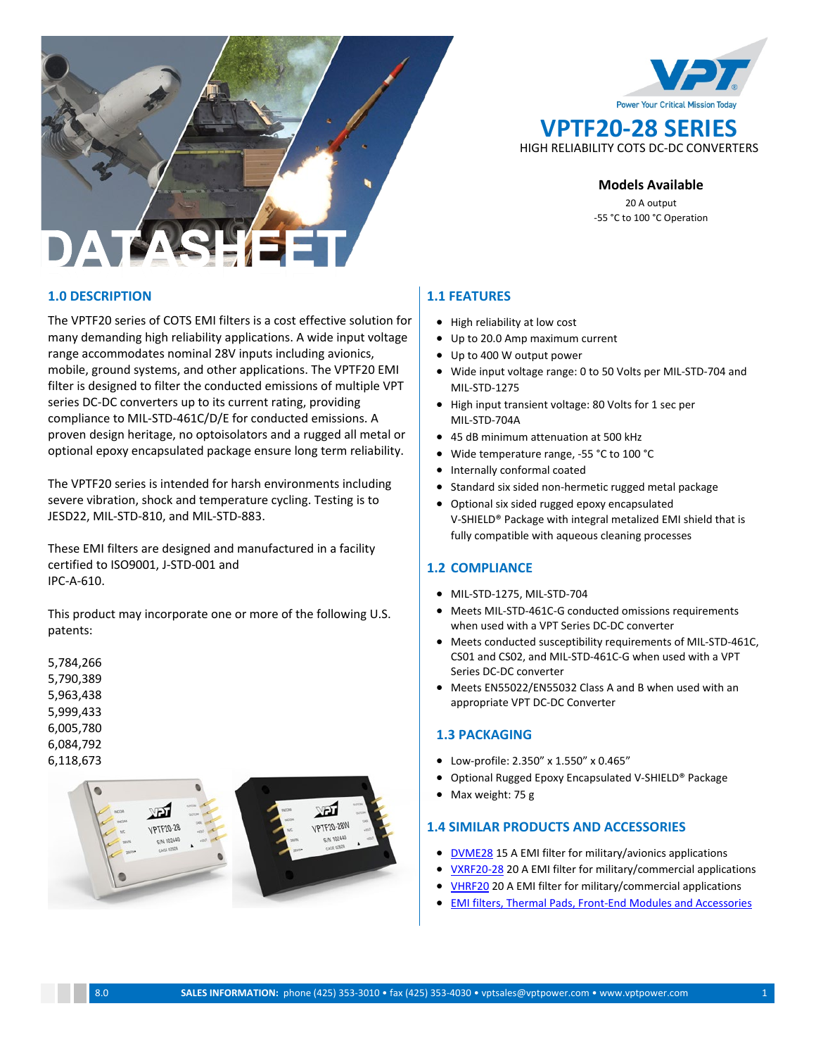



### **Models Available**

20 A output -55 °C to 100 °C Operation

## **1.0 DESCRIPTION**

The VPTF20 series of COTS EMI filters is a cost effective solution for many demanding high reliability applications. A wide input voltage range accommodates nominal 28V inputs including avionics, mobile, ground systems, and other applications. The VPTF20 EMI filter is designed to filter the conducted emissions of multiple VPT series DC-DC converters up to its current rating, providing compliance to MIL-STD-461C/D/E for conducted emissions. A proven design heritage, no optoisolators and a rugged all metal or optional epoxy encapsulated package ensure long term reliability.

The VPTF20 series is intended for harsh environments including severe vibration, shock and temperature cycling. Testing is to JESD22, MIL-STD-810, and MIL-STD-883.

These EMI filters are designed and manufactured in a facility certified to ISO9001, J-STD-001 and IPC-A-610.

This product may incorporate one or more of the following U.S. patents:

5,784,266 5,790,389 5,963,438 5,999,433 6,005,780 6,084,792 6,118,673



## **1.1 FEATURES**

- High reliability at low cost
- Up to 20.0 Amp maximum current
- Up to 400 W output power
- Wide input voltage range: 0 to 50 Volts per MIL-STD-704 and MIL-STD-1275
- High input transient voltage: 80 Volts for 1 sec per MIL-STD-704A
- 45 dB minimum attenuation at 500 kHz
- Wide temperature range, -55 °C to 100 °C
- Internally conformal coated
- Standard six sided non-hermetic rugged metal package
- Optional six sided rugged epoxy encapsulated V-SHIELD® Package with integral metalized EMI shield that is fully compatible with aqueous cleaning processes

## **1.2 COMPLIANCE**

- MIL-STD-1275, MIL-STD-704
- Meets MIL-STD-461C-G conducted omissions requirements when used with a VPT Series DC-DC converter
- Meets conducted susceptibility requirements of MIL-STD-461C, CS01 and CS02, and MIL-STD-461C-G when used with a VPT Series DC-DC converter
- Meets EN55022/EN55032 Class A and B when used with an appropriate VPT DC-DC Converter

### **1.3 PACKAGING**

- Low-profile: 2.350" x 1.550" x 0.465"
- Optional Rugged Epoxy Encapsulated V-SHIELD® Package
- Max weight: 75 g

### **1.4 SIMILAR PRODUCTS AND ACCESSORIES**

- [DVME28](http://www.vptpower.com/vpt-products/front-end-modules-accessories/dvme28-emi-filter/#.V0MVgJErKUk) 15 A EMI filter for military/avionics applications
- [VXRF20-28](http://www.vptpower.com/vpt-products/front-end-modules-accessories/vxrf20-28-emi-filter/#.V0MVqZErKUk) 20 A EMI filter for military/commercial applications
- [VHRF20](http://www.vptpower.com/wp-content/uploads/downloads/2016/09/DS-VHRF20-28-4.0.pdf) 20 A EMI filter for military/commercial applications
- **[EMI filters,](http://www.vptpower.com/vpt-products/front-end-modules-accessories/) [Thermal Pads,](http://www.vptpower.com/vpt-products/thermal-pads/) Front-End Modules and Accessories**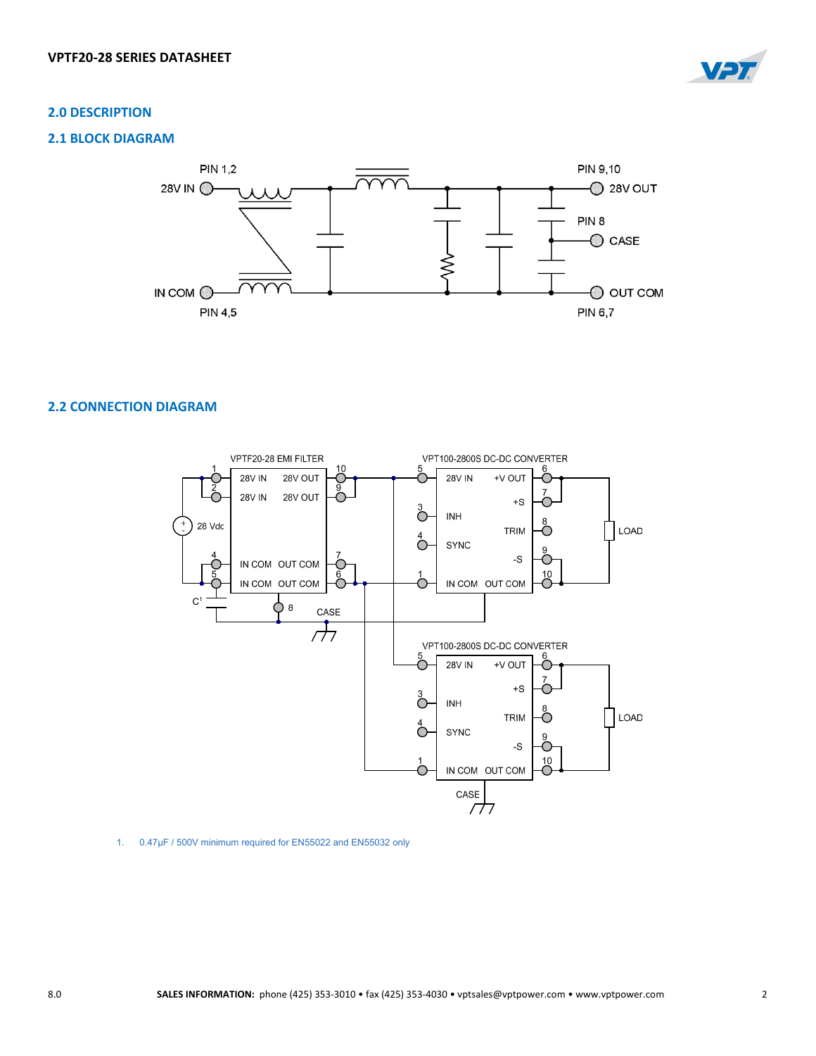

## **2.0 DESCRIPTION**

## **2.1 BLOCK DIAGRAM**



## **2.2 CONNECTION DIAGRAM**



1. 0.47µF / 500V minimum required for EN55022 and EN55032 only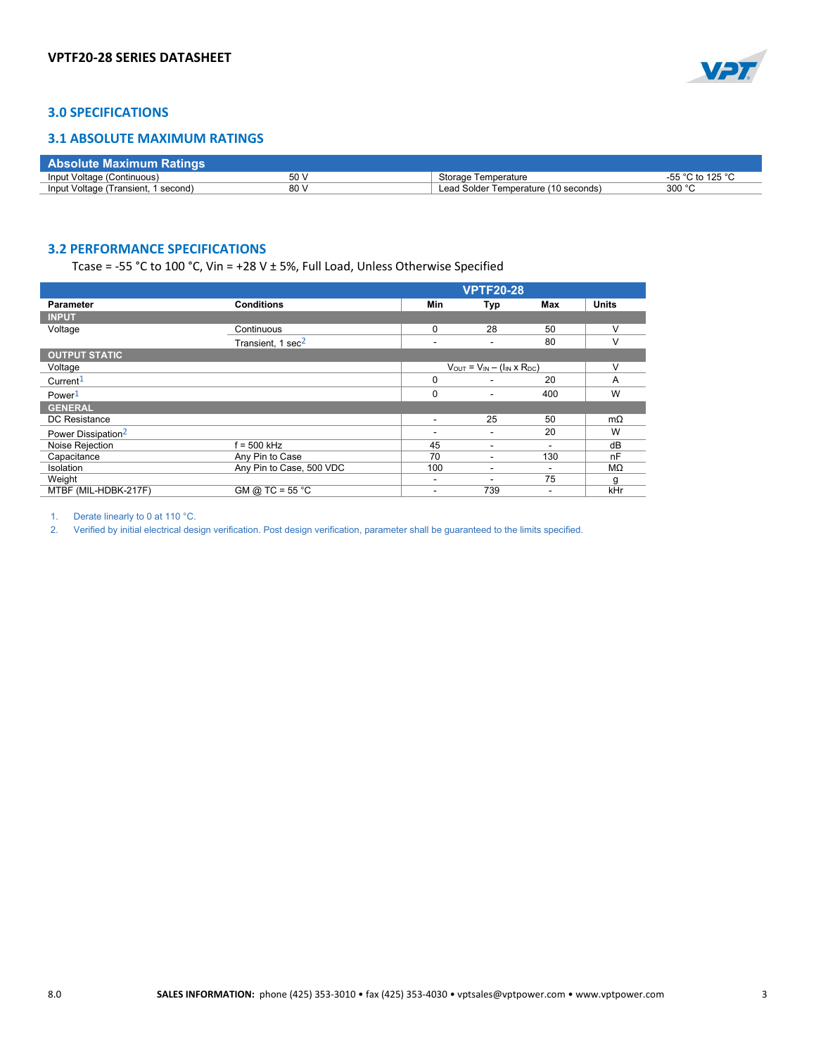

## **3.0 SPECIFICATIONS**

### **3.1 ABSOLUTE MAXIMUM RATINGS**

| Γ Absolute Maximum Ratings .        |                 |                                      |                              |
|-------------------------------------|-----------------|--------------------------------------|------------------------------|
| Input Voltage (Continuous)          | 50 <sup>1</sup> | Storage Temperature                  | -55 °C to 125 ° <sup>C</sup> |
| Input Voltage (Transient, 1 second) | 80'             | Lead Solder Temperature (10 seconds) | 300 °C                       |

## **3.2 PERFORMANCE SPECIFICATIONS**

Tcase = -55 °C to 100 °C, Vin = +28 V  $\pm$  5%, Full Load, Unless Otherwise Specified

|                                |                               | <b>VPTF20-28</b>                            |                          |        |              |
|--------------------------------|-------------------------------|---------------------------------------------|--------------------------|--------|--------------|
| <b>Parameter</b>               | <b>Conditions</b>             | Min                                         | Typ                      | Max    | <b>Units</b> |
| <b>INPUT</b>                   |                               |                                             |                          |        |              |
| Voltage                        | Continuous                    | 0                                           | 28                       | 50     | v            |
|                                | Transient, 1 sec <sup>2</sup> | ٠                                           | $\overline{\phantom{0}}$ | 80     |              |
| <b>OUTPUT STATIC</b>           |                               |                                             |                          |        |              |
| Voltage                        |                               | $V_{OUT} = V_{IN} - (I_{IN} \times R_{DC})$ |                          | $\vee$ |              |
| Current <sup>1</sup>           |                               | $\Omega$                                    |                          | 20     | A            |
| Power <sup>1</sup>             |                               | 0                                           |                          | 400    | W            |
| <b>GENERAL</b>                 |                               |                                             |                          |        |              |
| DC Resistance                  |                               | ٠                                           | 25                       | 50     | $m\Omega$    |
| Power Dissipation <sup>2</sup> |                               | $\overline{\phantom{a}}$                    |                          | 20     | W            |
| Noise Rejection                | $f = 500$ kHz                 | 45                                          |                          |        | dB           |
| Capacitance                    | Any Pin to Case               | 70                                          |                          | 130    | nF           |
| Isolation                      | Any Pin to Case, 500 VDC      | 100                                         |                          |        | MΩ           |
| Weight                         |                               | ٠                                           |                          | 75     | q            |
| MTBF (MIL-HDBK-217F)           | GM @ TC = $55\overline{°C}$   | ۰                                           | 739                      |        | kHr          |

1. Derate linearly to 0 at 110 °C.

2. Verified by initial electrical design verification. Post design verification, parameter shall be guaranteed to the limits specified.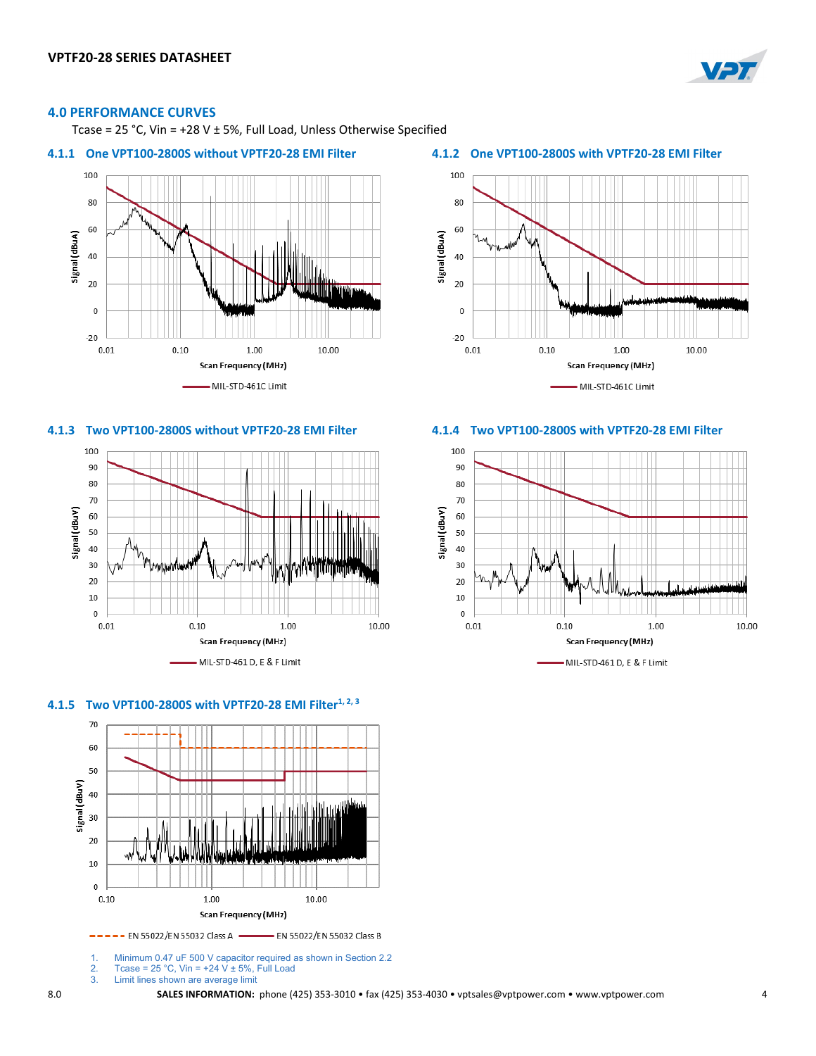

### **4.0 PERFORMANCE CURVES**

Tcase = 25 °C, Vin = +28 V ± 5%, Full Load, Unless Otherwise Specified

### **4.1.1 One VPT100-2800S without VPTF20-28 EMI Filter 4.1.2 One VPT100-2800S with VPTF20-28 EMI Filter**











1. Minimum 0.47 uF 500 V capacitor required as shown in Section 2.2<br>2. Tcase = 25 °C, Vin = +24 V ± 5%, Full Load

- 2. Tcase = 25 °C, Vin =  $+24$  V  $\pm$  5%, Full Load<br>3. Limit lines shown are average limit
- Limit lines shown are average limit



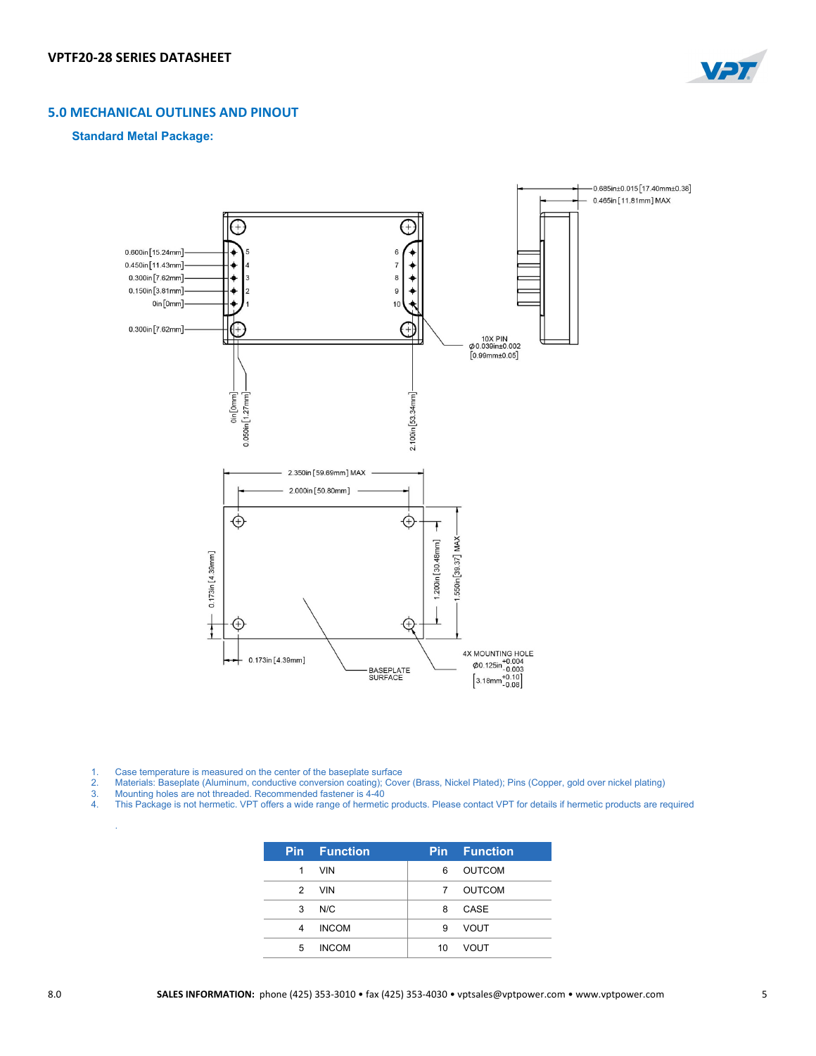

## **5.0 MECHANICAL OUTLINES AND PINOUT**

### **Standard Metal Package:**



- 1. Case temperature is measured on the center of the baseplate surface
- 2. Materials: Baseplate (Aluminum, conductive conversion coating); Cover (Brass, Nickel Plated); Pins (Copper, gold over nickel plating)
- 3. Mounting holes are not threaded. Recommended fastener is 4-40
- 4. This Package is not hermetic. VPT offers a wide range of hermetic products. Please contact VPT for details if hermetic products are required

|               | <b>Pin</b> Function |    | <b>Pin</b> Function |
|---------------|---------------------|----|---------------------|
| 1             | <b>VIN</b>          | 6  | <b>OUTCOM</b>       |
| $\mathcal{P}$ | <b>VIN</b>          | 7  | OUTCOM              |
| 3             | N/C                 | 8  | CASE                |
| 4             | <b>INCOM</b>        | 9  | <b>VOUT</b>         |
| 5             | <b>INCOM</b>        | 10 | <b>VOUT</b>         |

.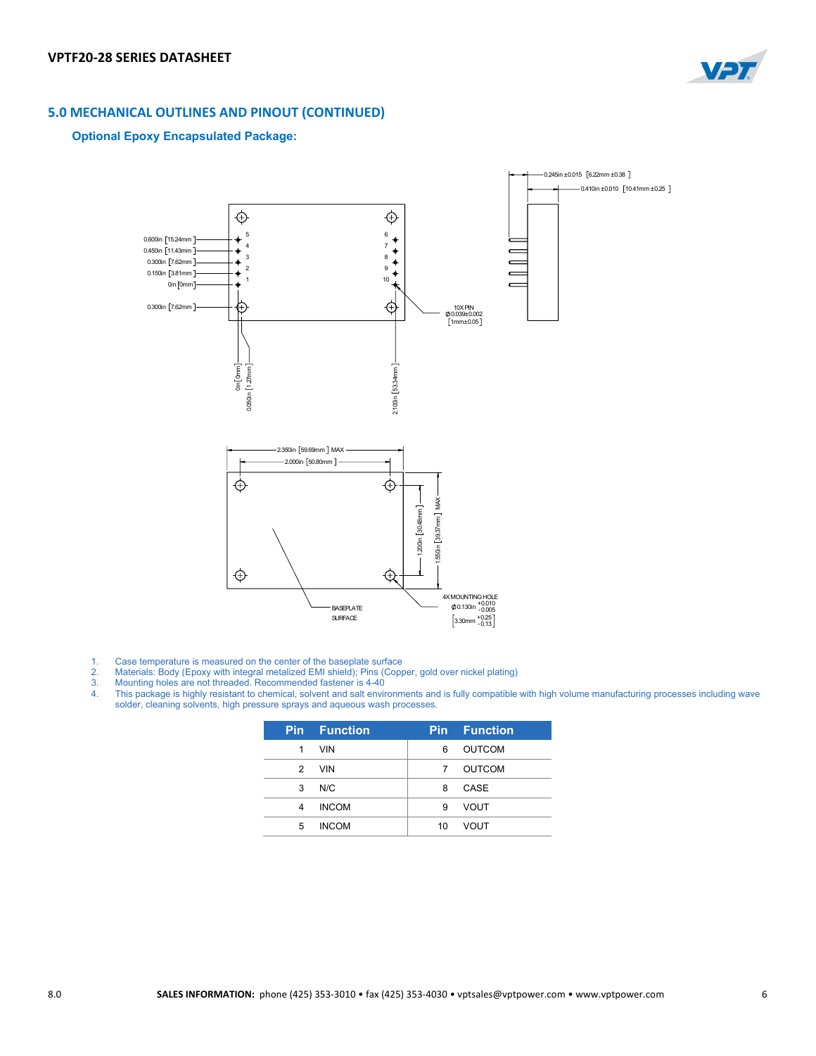

# **5.0 MECHANICAL OUTLINES AND PINOUT (CONTINUED)**

### **Optional Epoxy Encapsulated Package:**



- 
- 1. Case temperature is measured on the center of the baseplate surface<br>
2. Materials: Body (Epoxy with integral metalized EMI shield); Pins (Copp<br>
3. Mounting holes are not threaded. Recommended fastener is 4-40 2. Materials: Body (Epoxy with integral metalized EMI shield); Pins (Copper, gold over nickel plating)
- 3. Mounting holes are not threaded. Recommended fastener is 4-40
- 4. This package is highly resistant to chemical, solvent and salt environments and is fully compatible with high volume manufacturing processes including wave solder, cleaning solvents, high pressure sprays and aqueous wash processes.

|               | <b>Pin</b> Function |    | <b>Pin</b> Function |
|---------------|---------------------|----|---------------------|
| 1             | <b>VIN</b>          | 6  | <b>OUTCOM</b>       |
| $\mathcal{P}$ | <b>VIN</b>          | 7  | <b>OUTCOM</b>       |
| 3             | N/C                 | 8  | CASE                |
| 4             | <b>INCOM</b>        | 9  | <b>VOUT</b>         |
| 5             | <b>INCOM</b>        | 10 | <b>VOUT</b>         |
|               |                     |    |                     |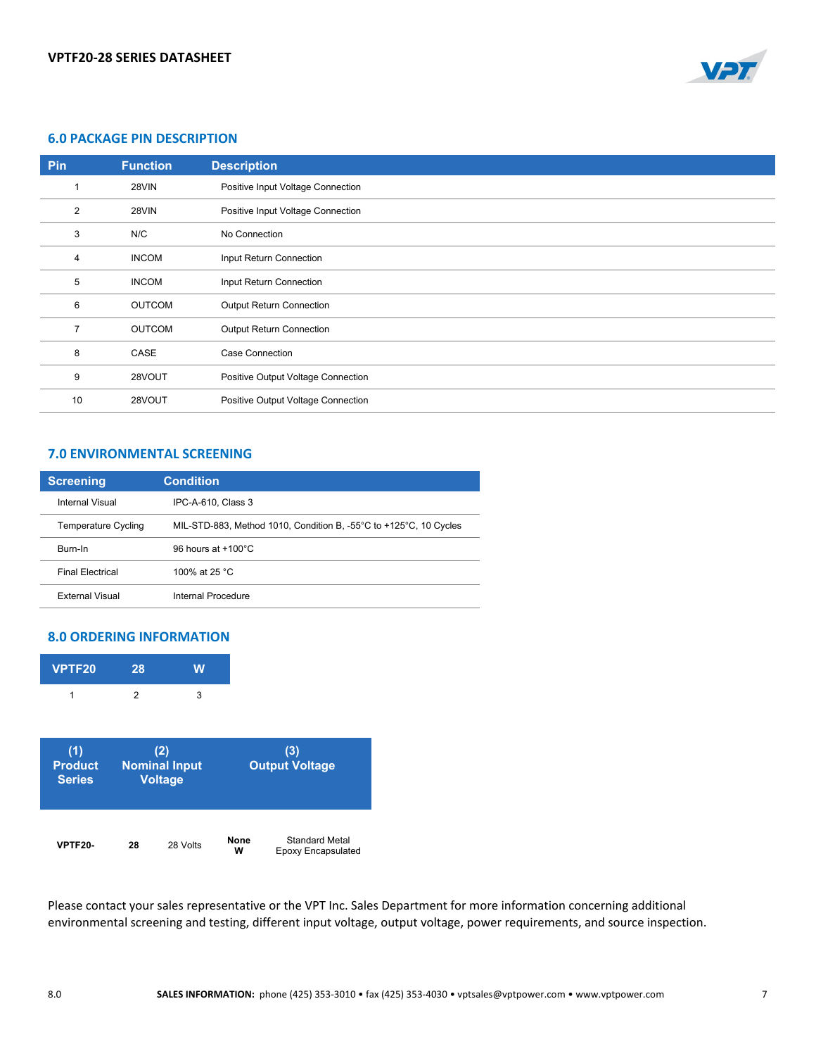

### **6.0 PACKAGE PIN DESCRIPTION**

| Pin | <b>Function</b> | <b>Description</b>                 |
|-----|-----------------|------------------------------------|
|     | 28VIN           | Positive Input Voltage Connection  |
| 2   | 28VIN           | Positive Input Voltage Connection  |
| 3   | N/C             | No Connection                      |
| 4   | <b>INCOM</b>    | Input Return Connection            |
| 5   | <b>INCOM</b>    | Input Return Connection            |
| 6   | <b>OUTCOM</b>   | <b>Output Return Connection</b>    |
|     | <b>OUTCOM</b>   | <b>Output Return Connection</b>    |
| 8   | CASE            | <b>Case Connection</b>             |
| 9   | 28VOUT          | Positive Output Voltage Connection |
| 10  | 28VOUT          | Positive Output Voltage Connection |

# **7.0 ENVIRONMENTAL SCREENING**

| <b>Screening</b>        | <b>Condition</b>                                                                      |
|-------------------------|---------------------------------------------------------------------------------------|
| Internal Visual         | IPC-A-610, Class 3                                                                    |
| Temperature Cycling     | MIL-STD-883, Method 1010, Condition B, -55 $\degree$ C to +125 $\degree$ C, 10 Cycles |
| Burn-In                 | 96 hours at $+100^{\circ}$ C                                                          |
| <b>Final Flectrical</b> | 100% at 25 °C.                                                                        |
| <b>External Visual</b>  | Internal Procedure                                                                    |

## **8.0 ORDERING INFORMATION**

| VPTF20                | 28             | W                    |                       |
|-----------------------|----------------|----------------------|-----------------------|
| 1                     | $\overline{2}$ | 3                    |                       |
|                       |                | (2)                  | (3)                   |
| (1)<br><b>Product</b> |                | <b>Nominal Input</b> | <b>Output Voltage</b> |
| <b>Series</b>         |                | <b>Voltage</b>       |                       |
|                       |                |                      |                       |

Please contact your sales representative or the VPT Inc. Sales Department for more information concerning additional environmental screening and testing, different input voltage, output voltage, power requirements, and source inspection.